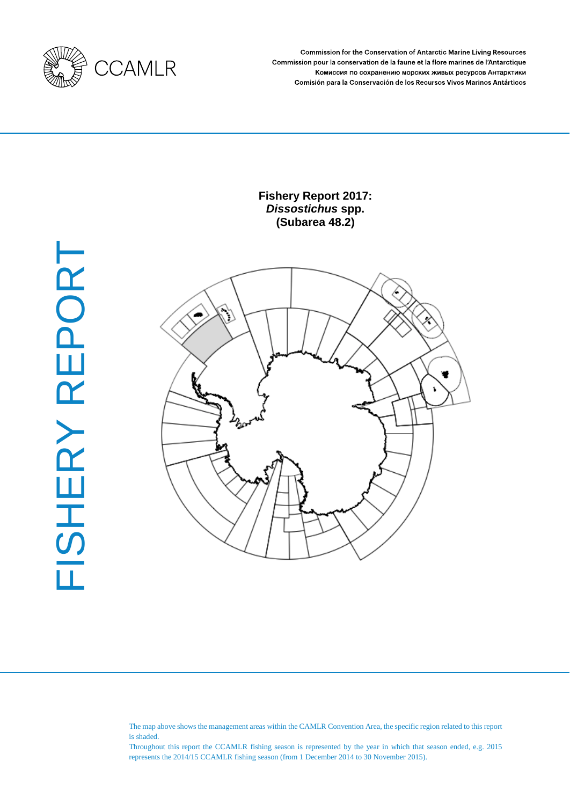

Commission for the Conservation of Antarctic Marine Living Resources Commission pour la conservation de la faune et la flore marines de l'Antarctique Комиссия по сохранению морских живых ресурсов Антарктики Comisión para la Conservación de los Recursos Vivos Marinos Antárticos

# **Fishery Report 2017:**  *Dissostichus* **spp. (Subarea 48.2)**





The map above shows the management areas within the CAMLR Convention Area, the specific region related to this report is shaded.

Throughout this report the CCAMLR fishing season is represented by the year in which that season ended, e.g. 2015 represents the 2014/15 CCAMLR fishing season (from 1 December 2014 to 30 November 2015).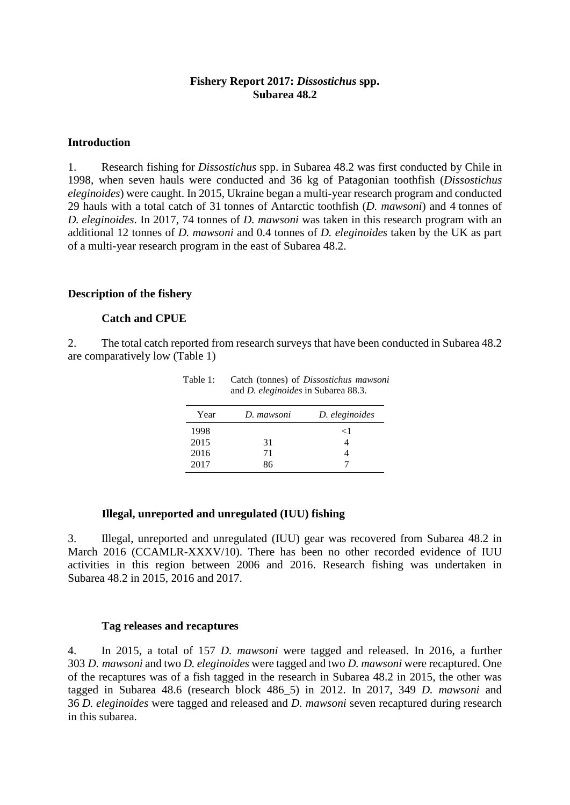### **Fishery Report 2017:** *Dissostichus* **spp. Subarea 48.2**

#### **Introduction**

1. Research fishing for *Dissostichus* spp. in Subarea 48.2 was first conducted by Chile in 1998, when seven hauls were conducted and 36 kg of Patagonian toothfish (*Dissostichus eleginoides*) were caught. In 2015, Ukraine began a multi-year research program and conducted 29 hauls with a total catch of 31 tonnes of Antarctic toothfish (*D. mawsoni*) and 4 tonnes of *D. eleginoides*. In 2017, 74 tonnes of *D. mawsoni* was taken in this research program with an additional 12 tonnes of *D. mawsoni* and 0.4 tonnes of *D. eleginoides* taken by the UK as part of a multi-year research program in the east of Subarea 48.2.

### **Description of the fishery**

#### **Catch and CPUE**

2. The total catch reported from research surveys that have been conducted in Subarea 48.2 are comparatively low (Table 1)

| $\mathfrak{m}$ . $\mathfrak{m}$ , $\mathfrak{m}$ and $\mathfrak{m}$ bubar can be $\mathfrak{m}$ . |            |                |  |  |
|---------------------------------------------------------------------------------------------------|------------|----------------|--|--|
| Year                                                                                              | D. mawsoni | D. eleginoides |  |  |
| 1998                                                                                              |            | $\leq$ 1       |  |  |
| 2015                                                                                              | 31         |                |  |  |
| 2016                                                                                              | 71         |                |  |  |
| 2017                                                                                              | 86         |                |  |  |

Table 1: Catch (tonnes) of *Dissostichus mawsoni* and *D. eleginoides* in Subarea 88.3.

### **Illegal, unreported and unregulated (IUU) fishing**

3. Illegal, unreported and unregulated (IUU) gear was recovered from Subarea 48.2 in March 2016 (CCAMLR-XXXV/10). There has been no other recorded evidence of IUU activities in this region between 2006 and 2016. Research fishing was undertaken in Subarea 48.2 in 2015, 2016 and 2017.

#### **Tag releases and recaptures**

4. In 2015, a total of 157 *D. mawsoni* were tagged and released. In 2016, a further 303 *D. mawsoni* and two *D. eleginoides* were tagged and two *D. mawsoni* were recaptured. One of the recaptures was of a fish tagged in the research in Subarea 48.2 in 2015, the other was tagged in Subarea 48.6 (research block 486\_5) in 2012. In 2017, 349 *D. mawsoni* and 36 *D. eleginoides* were tagged and released and *D. mawsoni* seven recaptured during research in this subarea.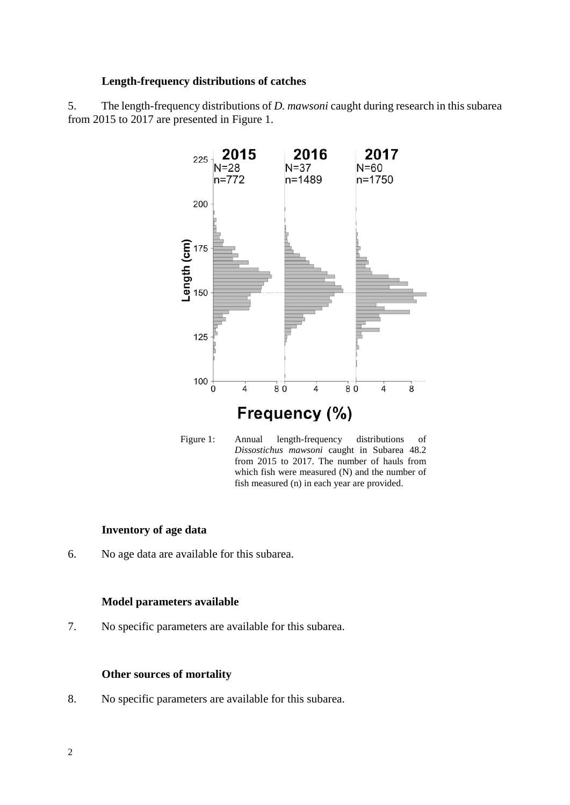### **Length-frequency distributions of catches**

5. The length-frequency distributions of *D. mawsoni* caught during research in this subarea from 2015 to 2017 are presented in Figure 1.





#### **Inventory of age data**

6. No age data are available for this subarea.

#### **Model parameters available**

7. No specific parameters are available for this subarea.

#### **Other sources of mortality**

8. No specific parameters are available for this subarea.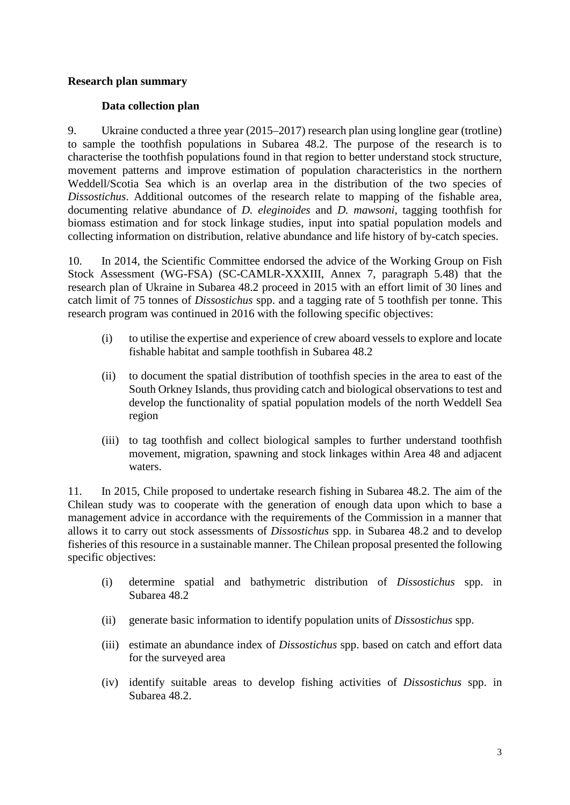## **Research plan summary**

# **Data collection plan**

9. Ukraine conducted a three year (2015–2017) research plan using longline gear (trotline) to sample the toothfish populations in Subarea 48.2. The purpose of the research is to characterise the toothfish populations found in that region to better understand stock structure, movement patterns and improve estimation of population characteristics in the northern Weddell/Scotia Sea which is an overlap area in the distribution of the two species of *Dissostichus*. Additional outcomes of the research relate to mapping of the fishable area, documenting relative abundance of *D. eleginoides* and *D. mawsoni*, tagging toothfish for biomass estimation and for stock linkage studies, input into spatial population models and collecting information on distribution, relative abundance and life history of by-catch species.

10. In 2014, the Scientific Committee endorsed the advice of the Working Group on Fish Stock Assessment (WG-FSA) (SC-CAMLR-XXXIII, Annex 7, paragraph 5.48) that the research plan of Ukraine in Subarea 48.2 proceed in 2015 with an effort limit of 30 lines and catch limit of 75 tonnes of *Dissostichus* spp. and a tagging rate of 5 toothfish per tonne. This research program was continued in 2016 with the following specific objectives:

- (i) to utilise the expertise and experience of crew aboard vessels to explore and locate fishable habitat and sample toothfish in Subarea 48.2
- (ii) to document the spatial distribution of toothfish species in the area to east of the South Orkney Islands, thus providing catch and biological observations to test and develop the functionality of spatial population models of the north Weddell Sea region
- (iii) to tag toothfish and collect biological samples to further understand toothfish movement, migration, spawning and stock linkages within Area 48 and adjacent waters.

11. In 2015, Chile proposed to undertake research fishing in Subarea 48.2. The aim of the Chilean study was to cooperate with the generation of enough data upon which to base a management advice in accordance with the requirements of the Commission in a manner that allows it to carry out stock assessments of *Dissostichus* spp. in Subarea 48.2 and to develop fisheries of this resource in a sustainable manner. The Chilean proposal presented the following specific objectives:

- (i) determine spatial and bathymetric distribution of *Dissostichus* spp. in Subarea 48.2
- (ii) generate basic information to identify population units of *Dissostichus* spp.
- (iii) estimate an abundance index of *Dissostichus* spp. based on catch and effort data for the surveyed area
- (iv) identify suitable areas to develop fishing activities of *Dissostichus* spp. in Subarea 48.2.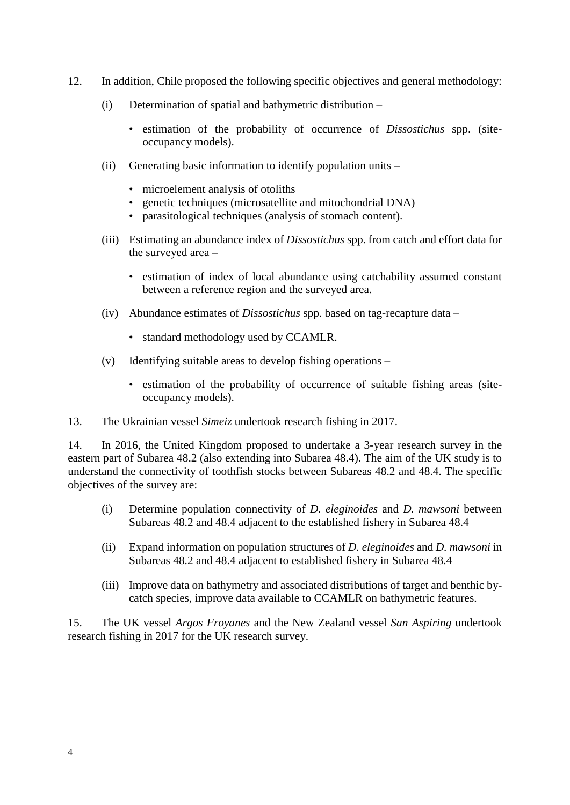- 12. In addition, Chile proposed the following specific objectives and general methodology:
	- (i) Determination of spatial and bathymetric distribution
		- estimation of the probability of occurrence of *Dissostichus* spp. (siteoccupancy models).
	- (ii) Generating basic information to identify population units
		- microelement analysis of otoliths
		- genetic techniques (microsatellite and mitochondrial DNA)
		- parasitological techniques (analysis of stomach content).
	- (iii) Estimating an abundance index of *Dissostichus* spp. from catch and effort data for the surveyed area –
		- estimation of index of local abundance using catchability assumed constant between a reference region and the surveyed area.
	- (iv) Abundance estimates of *Dissostichus* spp. based on tag-recapture data
		- standard methodology used by CCAMLR.
	- (v) Identifying suitable areas to develop fishing operations
		- estimation of the probability of occurrence of suitable fishing areas (siteoccupancy models).
- 13. The Ukrainian vessel *Simeiz* undertook research fishing in 2017.

14. In 2016, the United Kingdom proposed to undertake a 3-year research survey in the eastern part of Subarea 48.2 (also extending into Subarea 48.4). The aim of the UK study is to understand the connectivity of toothfish stocks between Subareas 48.2 and 48.4. The specific objectives of the survey are:

- (i) Determine population connectivity of *D. eleginoides* and *D. mawsoni* between Subareas 48.2 and 48.4 adjacent to the established fishery in Subarea 48.4
- (ii) Expand information on population structures of *D. eleginoides* and *D. mawsoni* in Subareas 48.2 and 48.4 adjacent to established fishery in Subarea 48.4
- (iii) Improve data on bathymetry and associated distributions of target and benthic bycatch species, improve data available to CCAMLR on bathymetric features.

15. The UK vessel *Argos Froyanes* and the New Zealand vessel *San Aspiring* undertook research fishing in 2017 for the UK research survey.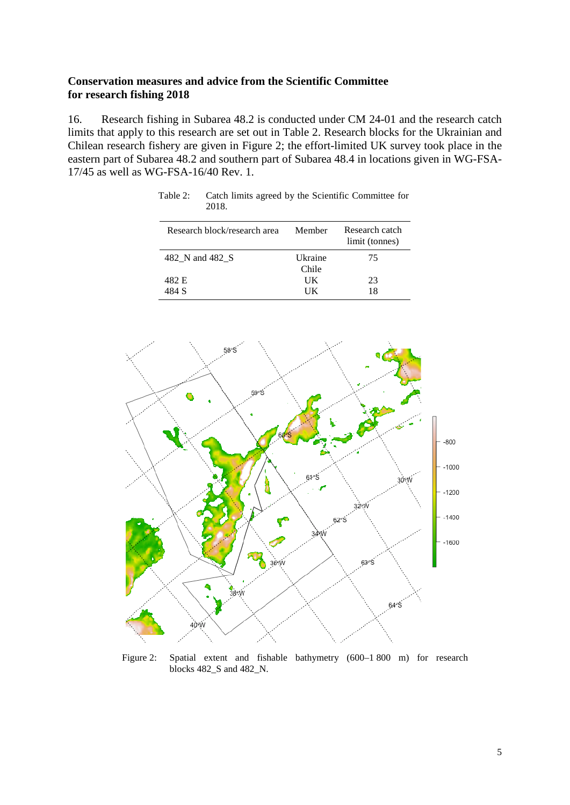## **Conservation measures and advice from the Scientific Committee for research fishing 2018**

16. Research fishing in Subarea 48.2 is conducted under CM 24-01 and the research catch limits that apply to this research are set out in Table 2. Research blocks for the Ukrainian and Chilean research fishery are given in Figure 2; the effort-limited UK survey took place in the eastern part of Subarea 48.2 and southern part of Subarea 48.4 in locations given in WG-FSA-17/45 as well as WG-FSA-16/40 Rev. 1.

| Research block/research area | Member           | Research catch<br>limit (tonnes) |
|------------------------------|------------------|----------------------------------|
| 482 N and 482 S              | Ukraine<br>Chile | 75                               |
| 482 E<br>484 S               | UК<br>ĦК         | 23<br>18                         |

Table 2: Catch limits agreed by the Scientific Committee for 2018.



Figure 2: Spatial extent and fishable bathymetry (600–1 800 m) for research blocks 482\_S and 482\_N.